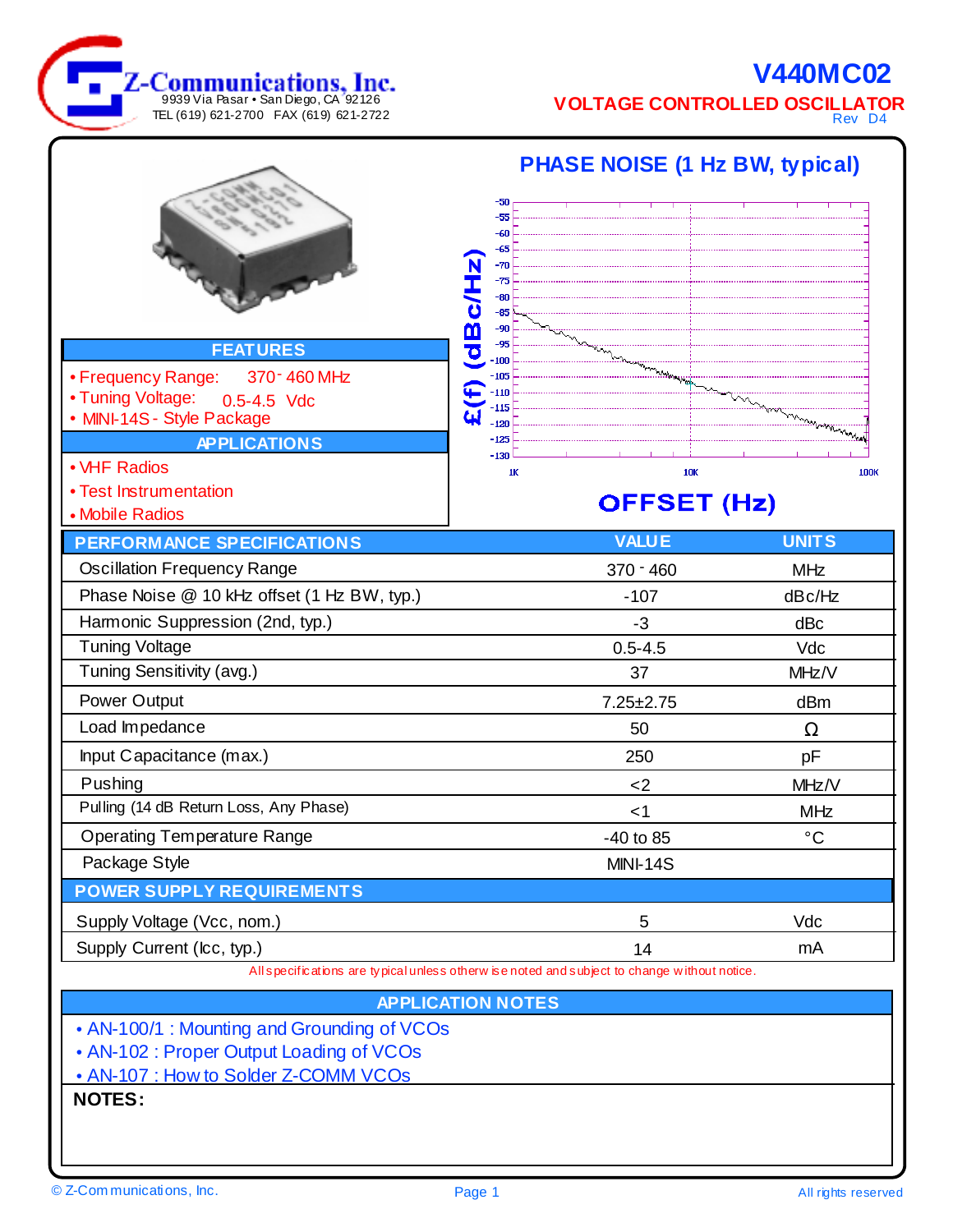**V440MC02 VOLTAGE CONTROLLED OSCILLATOR**

Rev D4

|                                                                                              | <b>PHASE NOISE (1 Hz BW, typical)</b> |                    |                  |
|----------------------------------------------------------------------------------------------|---------------------------------------|--------------------|------------------|
|                                                                                              | -50                                   |                    |                  |
|                                                                                              | -55<br>-60                            |                    |                  |
|                                                                                              | -65<br>$-70$                          |                    |                  |
|                                                                                              | $-75$                                 |                    |                  |
|                                                                                              | -80<br>$-85$                          |                    |                  |
|                                                                                              | $-90$<br><u>an</u><br>$-95$           |                    |                  |
| <b>FEATURES</b>                                                                              | Ó<br>100                              |                    |                  |
| • Frequency Range:<br>370 - 460 MHz                                                          | $-105$<br>$-110$                      |                    |                  |
| • Tuning Voltage:<br>0.5-4.5 Vdc<br>• MINI-14S - Style Package                               | $-115$<br>Щ                           |                    |                  |
| <b>APPLICATIONS</b>                                                                          | $-120$<br>$-125$                      |                    |                  |
| • VHF Radios                                                                                 | $-130$<br>1K                          | <b>10K</b>         | 100 <sub>K</sub> |
| • Test Instrumentation                                                                       |                                       |                    |                  |
| • Mobile Radios                                                                              |                                       | <b>OFFSET (Hz)</b> |                  |
| <b>PERFORMANCE SPECIFICATIONS</b>                                                            |                                       | <b>VALUE</b>       | <b>UNITS</b>     |
| <b>Oscillation Frequency Range</b>                                                           |                                       | $370 - 460$        | <b>MHz</b>       |
| Phase Noise @ 10 kHz offset (1 Hz BW, typ.)                                                  |                                       | $-107$             | dBc/Hz           |
| Harmonic Suppression (2nd, typ.)                                                             |                                       | $-3$               | dBc              |
| <b>Tuning Voltage</b>                                                                        |                                       | $0.5 - 4.5$        | Vdc              |
| Tuning Sensitivity (avg.)                                                                    |                                       | 37                 | MHz/V            |
| Power Output                                                                                 |                                       | $7.25 \pm 2.75$    | dBm              |
| Load Impedance                                                                               |                                       | 50                 | Ω                |
| Input Capacitance (max.)                                                                     |                                       | 250                | pF               |
| Pushing                                                                                      |                                       | $<$ 2              | MHz/V            |
| Pulling (14 dB Return Loss, Any Phase)                                                       |                                       | ا>                 | <b>MHz</b>       |
| <b>Operating Temperature Range</b>                                                           |                                       | -40 to 85          | $^{\circ}$ C     |
| Package Style                                                                                |                                       | <b>MINI-14S</b>    |                  |
| <b>POWER SUPPLY REQUIREMENTS</b>                                                             |                                       |                    |                  |
| Supply Voltage (Vcc, nom.)                                                                   |                                       | 5                  | Vdc              |
| Supply Current (Icc, typ.)                                                                   |                                       | 14                 | mA               |
| All specifications are typical unless otherw is enoted and subject to change without notice. |                                       |                    |                  |
| <b>APPLICATION NOTES</b>                                                                     |                                       |                    |                  |
| • AN-100/1 : Mounting and Grounding of VCOs                                                  |                                       |                    |                  |
| • AN-102 : Proper Output Loading of VCOs                                                     |                                       |                    |                  |
| • AN-107 : How to Solder Z-COMM VCOs                                                         |                                       |                    |                  |
| <b>NOTES:</b>                                                                                |                                       |                    |                  |
|                                                                                              |                                       |                    |                  |

9939 Via Pasar • San Diego, CA 92126 TEL (619) 621-2700 FAX (619) 621-2722